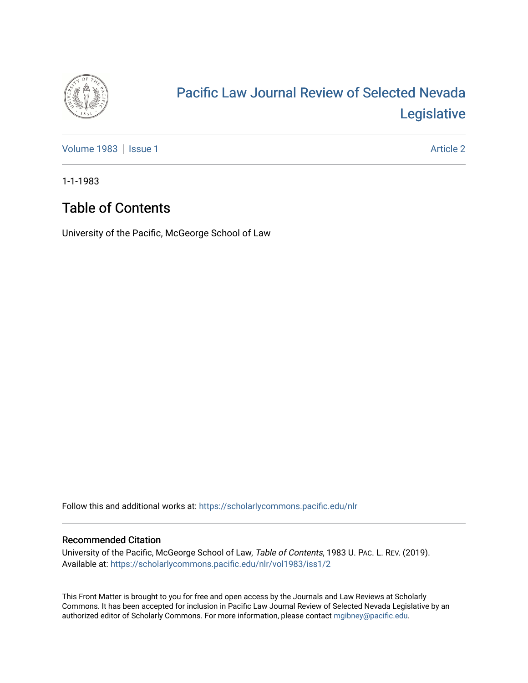

# [Pacific Law Journal Review of Selected Nevada](https://scholarlycommons.pacific.edu/nlr)  [Legislative](https://scholarlycommons.pacific.edu/nlr)

[Volume 1983](https://scholarlycommons.pacific.edu/nlr/vol1983) | [Issue 1](https://scholarlycommons.pacific.edu/nlr/vol1983/iss1) Article 2

1-1-1983

## Table of Contents

University of the Pacific, McGeorge School of Law

Follow this and additional works at: [https://scholarlycommons.pacific.edu/nlr](https://scholarlycommons.pacific.edu/nlr?utm_source=scholarlycommons.pacific.edu%2Fnlr%2Fvol1983%2Fiss1%2F2&utm_medium=PDF&utm_campaign=PDFCoverPages) 

#### Recommended Citation

University of the Pacific, McGeorge School of Law, Table of Contents, 1983 U. PAC. L. REV. (2019). Available at: [https://scholarlycommons.pacific.edu/nlr/vol1983/iss1/2](https://scholarlycommons.pacific.edu/nlr/vol1983/iss1/2?utm_source=scholarlycommons.pacific.edu%2Fnlr%2Fvol1983%2Fiss1%2F2&utm_medium=PDF&utm_campaign=PDFCoverPages) 

This Front Matter is brought to you for free and open access by the Journals and Law Reviews at Scholarly Commons. It has been accepted for inclusion in Pacific Law Journal Review of Selected Nevada Legislative by an authorized editor of Scholarly Commons. For more information, please contact [mgibney@pacific.edu](mailto:mgibney@pacific.edu).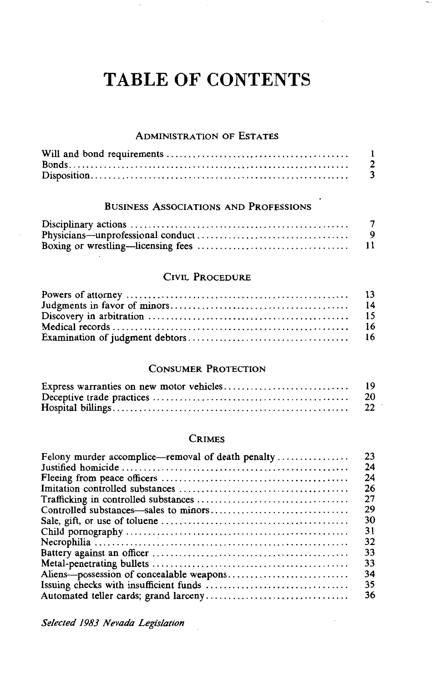## **TABLE OF CONTENTS**

 $\sim$  .

#### ADMINISTRATION OF ESTATES

## BUSINESS ASSOCIATIONS AND PROFESSIONS

#### CIVIL PROCEDURE

### CONSUMER PROTECTION

| 20 |
|----|
| 22 |

#### CRIMES

| Felony murder accomplice—removal of death penalty | 23 |
|---------------------------------------------------|----|
|                                                   | 24 |
|                                                   | 24 |
|                                                   | 26 |
|                                                   | 27 |
|                                                   | 29 |
|                                                   | 30 |
|                                                   | 31 |
|                                                   | 32 |
|                                                   | 33 |
|                                                   | 33 |
|                                                   | 34 |
|                                                   | 35 |
|                                                   | 36 |

*Selected 1983 Nevada Legislation*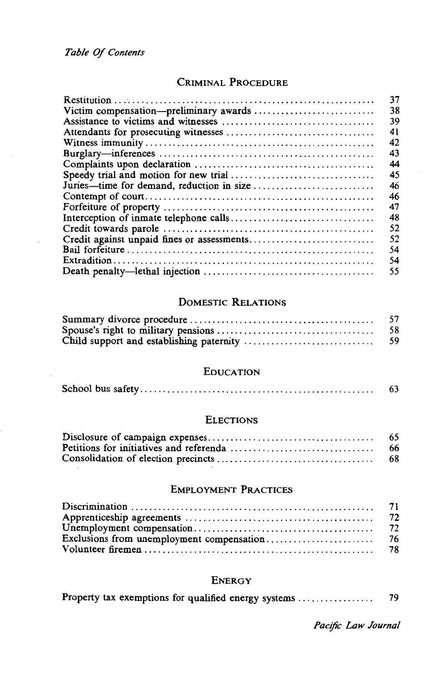## CRIMINAL PROCEDURE

| 37                                              |
|-------------------------------------------------|
| 38                                              |
| 39                                              |
| 41                                              |
| 42                                              |
| 43                                              |
| 44                                              |
| 45                                              |
| 46<br>Juries—time for demand, reduction in size |
| 46                                              |
| 47                                              |
| 48                                              |
| 52                                              |
| 52                                              |
| 54                                              |
| 54                                              |
| 55                                              |

## **DOMESTIC RELATIONS**

| 57  |
|-----|
| 58  |
| -59 |

#### **EDUCATION**

|  |  | 63 |
|--|--|----|
|--|--|----|

#### **ELECTIONS**

| 65 |
|----|
| 66 |
| 68 |

#### **EMPLOYMENT PRACTICES**

#### **ENERGY**

| Property tax exemptions for qualified energy systems |  |  |
|------------------------------------------------------|--|--|
|------------------------------------------------------|--|--|

Pacific Law Journal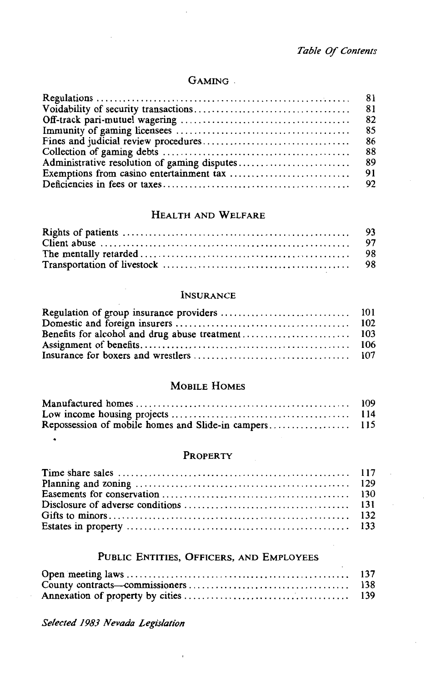## GAMING.

| 85 |
|----|
| 86 |
| 88 |
|    |
|    |
|    |

#### HEALTH AND WELFARE

#### INSURANCE

## MOBILE HOMES

| -109  |
|-------|
| - 114 |
|       |

#### PROPERTY

## PUBLIC ENTITIES, OFFICERS, AND EMPLOYEES

*Selected 1983 Nevada Legislation*